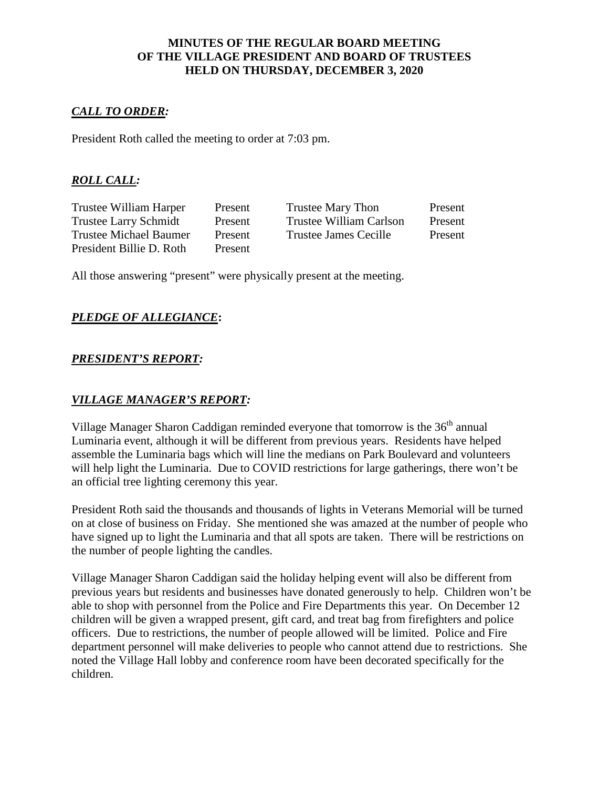### **MINUTES OF THE REGULAR BOARD MEETING OF THE VILLAGE PRESIDENT AND BOARD OF TRUSTEES HELD ON THURSDAY, DECEMBER 3, 2020**

## *CALL TO ORDER:*

President Roth called the meeting to order at 7:03 pm.

## *ROLL CALL:*

President Billie D. Roth Present

Trustee William Harper Present Trustee Mary Thon Present Trustee Larry Schmidt Present Trustee William Carlson Present Trustee Michael Baumer Present Trustee James Cecille Present

All those answering "present" were physically present at the meeting.

### *PLEDGE OF ALLEGIANCE***:**

### *PRESIDENT'S REPORT:*

## *VILLAGE MANAGER'S REPORT:*

Village Manager Sharon Caddigan reminded everyone that tomorrow is the  $36<sup>th</sup>$  annual Luminaria event, although it will be different from previous years. Residents have helped assemble the Luminaria bags which will line the medians on Park Boulevard and volunteers will help light the Luminaria. Due to COVID restrictions for large gatherings, there won't be an official tree lighting ceremony this year.

President Roth said the thousands and thousands of lights in Veterans Memorial will be turned on at close of business on Friday. She mentioned she was amazed at the number of people who have signed up to light the Luminaria and that all spots are taken. There will be restrictions on the number of people lighting the candles.

Village Manager Sharon Caddigan said the holiday helping event will also be different from previous years but residents and businesses have donated generously to help. Children won't be able to shop with personnel from the Police and Fire Departments this year. On December 12 children will be given a wrapped present, gift card, and treat bag from firefighters and police officers. Due to restrictions, the number of people allowed will be limited. Police and Fire department personnel will make deliveries to people who cannot attend due to restrictions. She noted the Village Hall lobby and conference room have been decorated specifically for the children.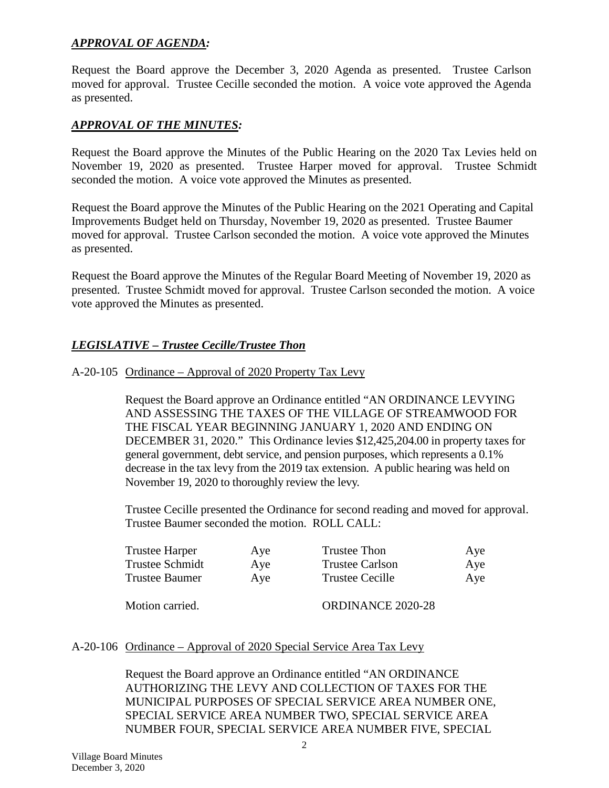## *APPROVAL OF AGENDA:*

Request the Board approve the December 3, 2020 Agenda as presented. Trustee Carlson moved for approval. Trustee Cecille seconded the motion. A voice vote approved the Agenda as presented.

## *APPROVAL OF THE MINUTES:*

Request the Board approve the Minutes of the Public Hearing on the 2020 Tax Levies held on November 19, 2020 as presented. Trustee Harper moved for approval. Trustee Schmidt seconded the motion. A voice vote approved the Minutes as presented.

Request the Board approve the Minutes of the Public Hearing on the 2021 Operating and Capital Improvements Budget held on Thursday, November 19, 2020 as presented. Trustee Baumer moved for approval. Trustee Carlson seconded the motion. A voice vote approved the Minutes as presented.

Request the Board approve the Minutes of the Regular Board Meeting of November 19, 2020 as presented. Trustee Schmidt moved for approval. Trustee Carlson seconded the motion. A voice vote approved the Minutes as presented.

# *LEGISLATIVE – Trustee Cecille/Trustee Thon*

### A-20-105 Ordinance – Approval of 2020 Property Tax Levy

Request the Board approve an Ordinance entitled "AN ORDINANCE LEVYING AND ASSESSING THE TAXES OF THE VILLAGE OF STREAMWOOD FOR THE FISCAL YEAR BEGINNING JANUARY 1, 2020 AND ENDING ON DECEMBER 31, 2020." This Ordinance levies \$12,425,204.00 in property taxes for general government, debt service, and pension purposes, which represents a 0.1% decrease in the tax levy from the 2019 tax extension. A public hearing was held on November 19, 2020 to thoroughly review the levy.

Trustee Cecille presented the Ordinance for second reading and moved for approval. Trustee Baumer seconded the motion. ROLL CALL:

| Trustee Harper  | Aye | Trustee Thon             | Aye |
|-----------------|-----|--------------------------|-----|
| Trustee Schmidt | Aye | <b>Trustee Carlson</b>   | Aye |
| Trustee Baumer  | Ave | Trustee Cecille          | Aye |
| Motion carried. |     | <b>ORDINANCE 2020-28</b> |     |

### A-20-106 Ordinance – Approval of 2020 Special Service Area Tax Levy

Request the Board approve an Ordinance entitled "AN ORDINANCE AUTHORIZING THE LEVY AND COLLECTION OF TAXES FOR THE MUNICIPAL PURPOSES OF SPECIAL SERVICE AREA NUMBER ONE, SPECIAL SERVICE AREA NUMBER TWO, SPECIAL SERVICE AREA NUMBER FOUR, SPECIAL SERVICE AREA NUMBER FIVE, SPECIAL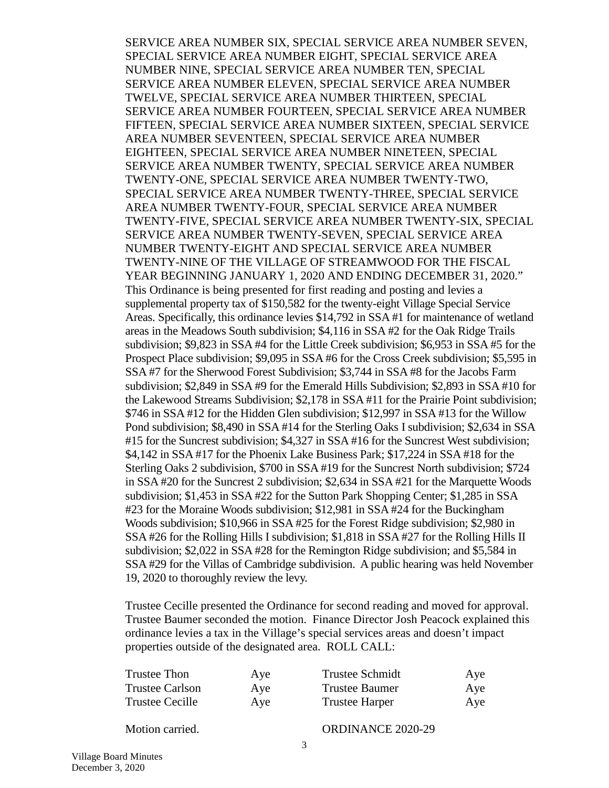SERVICE AREA NUMBER SIX, SPECIAL SERVICE AREA NUMBER SEVEN, SPECIAL SERVICE AREA NUMBER EIGHT, SPECIAL SERVICE AREA NUMBER NINE, SPECIAL SERVICE AREA NUMBER TEN, SPECIAL SERVICE AREA NUMBER ELEVEN, SPECIAL SERVICE AREA NUMBER TWELVE, SPECIAL SERVICE AREA NUMBER THIRTEEN, SPECIAL SERVICE AREA NUMBER FOURTEEN, SPECIAL SERVICE AREA NUMBER FIFTEEN, SPECIAL SERVICE AREA NUMBER SIXTEEN, SPECIAL SERVICE AREA NUMBER SEVENTEEN, SPECIAL SERVICE AREA NUMBER EIGHTEEN, SPECIAL SERVICE AREA NUMBER NINETEEN, SPECIAL SERVICE AREA NUMBER TWENTY, SPECIAL SERVICE AREA NUMBER TWENTY-ONE, SPECIAL SERVICE AREA NUMBER TWENTY-TWO, SPECIAL SERVICE AREA NUMBER TWENTY-THREE, SPECIAL SERVICE AREA NUMBER TWENTY-FOUR, SPECIAL SERVICE AREA NUMBER TWENTY-FIVE, SPECIAL SERVICE AREA NUMBER TWENTY-SIX, SPECIAL SERVICE AREA NUMBER TWENTY-SEVEN, SPECIAL SERVICE AREA NUMBER TWENTY-EIGHT AND SPECIAL SERVICE AREA NUMBER TWENTY-NINE OF THE VILLAGE OF STREAMWOOD FOR THE FISCAL YEAR BEGINNING JANUARY 1, 2020 AND ENDING DECEMBER 31, 2020." This Ordinance is being presented for first reading and posting and levies a supplemental property tax of \$150,582 for the twenty-eight Village Special Service Areas. Specifically, this ordinance levies \$14,792 in SSA #1 for maintenance of wetland areas in the Meadows South subdivision; \$4,116 in SSA #2 for the Oak Ridge Trails subdivision; \$9,823 in SSA #4 for the Little Creek subdivision; \$6,953 in SSA #5 for the Prospect Place subdivision; \$9,095 in SSA #6 for the Cross Creek subdivision; \$5,595 in SSA #7 for the Sherwood Forest Subdivision; \$3,744 in SSA #8 for the Jacobs Farm subdivision; \$2,849 in SSA #9 for the Emerald Hills Subdivision; \$2,893 in SSA #10 for the Lakewood Streams Subdivision; \$2,178 in SSA #11 for the Prairie Point subdivision; \$746 in SSA #12 for the Hidden Glen subdivision; \$12,997 in SSA #13 for the Willow Pond subdivision; \$8,490 in SSA #14 for the Sterling Oaks I subdivision; \$2,634 in SSA #15 for the Suncrest subdivision; \$4,327 in SSA #16 for the Suncrest West subdivision; \$4,142 in SSA #17 for the Phoenix Lake Business Park; \$17,224 in SSA #18 for the Sterling Oaks 2 subdivision, \$700 in SSA #19 for the Suncrest North subdivision; \$724 in SSA #20 for the Suncrest 2 subdivision; \$2,634 in SSA #21 for the Marquette Woods subdivision; \$1,453 in SSA #22 for the Sutton Park Shopping Center; \$1,285 in SSA #23 for the Moraine Woods subdivision; \$12,981 in SSA #24 for the Buckingham Woods subdivision; \$10,966 in SSA #25 for the Forest Ridge subdivision; \$2,980 in SSA #26 for the Rolling Hills I subdivision; \$1,818 in SSA #27 for the Rolling Hills II subdivision; \$2,022 in SSA #28 for the Remington Ridge subdivision; and \$5,584 in SSA #29 for the Villas of Cambridge subdivision. A public hearing was held November 19, 2020 to thoroughly review the levy.

Trustee Cecille presented the Ordinance for second reading and moved for approval. Trustee Baumer seconded the motion. Finance Director Josh Peacock explained this ordinance levies a tax in the Village's special services areas and doesn't impact properties outside of the designated area. ROLL CALL:

| Trustee Thon           | Aye | <b>Trustee Schmidt</b> | Aye |
|------------------------|-----|------------------------|-----|
| <b>Trustee Carlson</b> | Aye | Trustee Baumer         | Aye |
| Trustee Cecille        | Aye | <b>Trustee Harper</b>  | Aye |

Motion carried. CORDINANCE 2020-29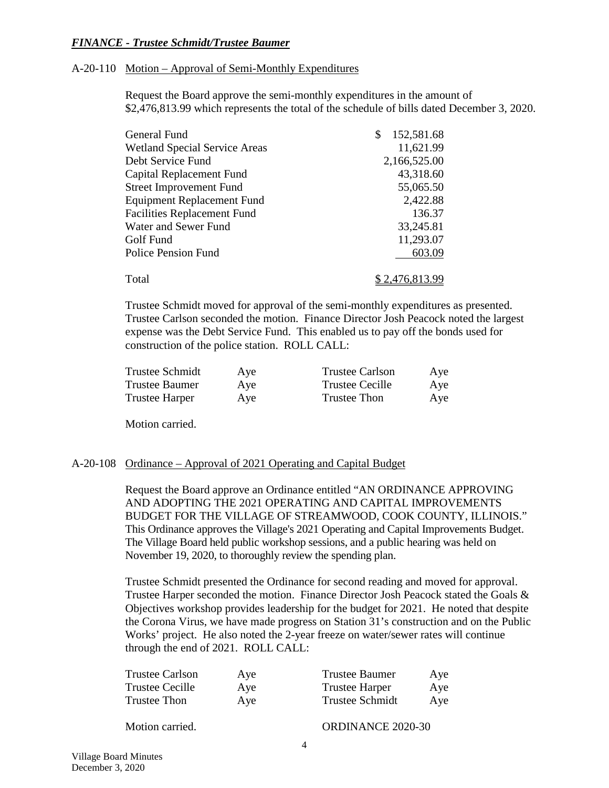### *FINANCE - Trustee Schmidt/Trustee Baumer*

#### A-20-110 Motion – Approval of Semi-Monthly Expenditures

Request the Board approve the semi-monthly expenditures in the amount of \$2,476,813.99 which represents the total of the schedule of bills dated December 3, 2020.

| General Fund                         | 152,581.68<br>S       |
|--------------------------------------|-----------------------|
| <b>Wetland Special Service Areas</b> | 11,621.99             |
| Debt Service Fund                    | 2,166,525.00          |
| Capital Replacement Fund             | 43,318.60             |
| <b>Street Improvement Fund</b>       | 55,065.50             |
| <b>Equipment Replacement Fund</b>    | 2,422.88              |
| <b>Facilities Replacement Fund</b>   | 136.37                |
| Water and Sewer Fund                 | 33,245.81             |
| Golf Fund                            | 11,293.07             |
| <b>Police Pension Fund</b>           | 603.09                |
| Total                                | <u>\$2,476,813.99</u> |

Trustee Schmidt moved for approval of the semi-monthly expenditures as presented. Trustee Carlson seconded the motion. Finance Director Josh Peacock noted the largest expense was the Debt Service Fund. This enabled us to pay off the bonds used for construction of the police station. ROLL CALL:

| Trustee Schmidt | Aye | Trustee Carlson | Aye |
|-----------------|-----|-----------------|-----|
| Trustee Baumer  | Aye | Trustee Cecille | Aye |
| Trustee Harper  | Aye | Trustee Thon    | Aye |

Motion carried.

#### A-20-108 Ordinance – Approval of 2021 Operating and Capital Budget

Request the Board approve an Ordinance entitled "AN ORDINANCE APPROVING AND ADOPTING THE 2021 OPERATING AND CAPITAL IMPROVEMENTS BUDGET FOR THE VILLAGE OF STREAMWOOD, COOK COUNTY, ILLINOIS." This Ordinance approves the Village's 2021 Operating and Capital Improvements Budget. The Village Board held public workshop sessions, and a public hearing was held on November 19, 2020, to thoroughly review the spending plan.

Trustee Schmidt presented the Ordinance for second reading and moved for approval. Trustee Harper seconded the motion. Finance Director Josh Peacock stated the Goals & Objectives workshop provides leadership for the budget for 2021. He noted that despite the Corona Virus, we have made progress on Station 31's construction and on the Public Works' project. He also noted the 2-year freeze on water/sewer rates will continue through the end of 2021. ROLL CALL:

| Trustee Carlson     | Aye | <b>Trustee Baumer</b> | Aye |
|---------------------|-----|-----------------------|-----|
| Trustee Cecille     | Aye | <b>Trustee Harper</b> | Aye |
| <b>Trustee Thon</b> | Aye | Trustee Schmidt       | Aye |

Motion carried. CONDINANCE 2020-30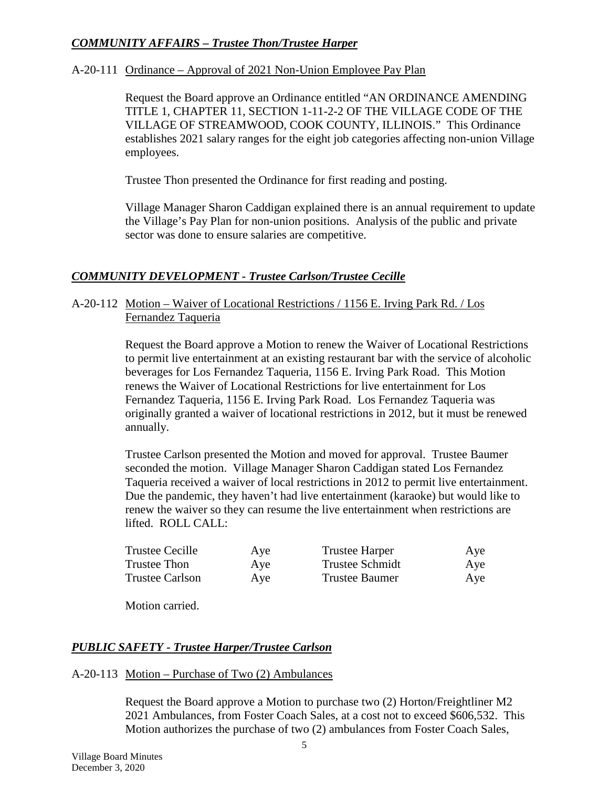# *COMMUNITY AFFAIRS – Trustee Thon/Trustee Harper*

## A-20-111 Ordinance – Approval of 2021 Non-Union Employee Pay Plan

Request the Board approve an Ordinance entitled "AN ORDINANCE AMENDING TITLE 1, CHAPTER 11, SECTION 1-11-2-2 OF THE VILLAGE CODE OF THE VILLAGE OF STREAMWOOD, COOK COUNTY, ILLINOIS." This Ordinance establishes 2021 salary ranges for the eight job categories affecting non-union Village employees.

Trustee Thon presented the Ordinance for first reading and posting.

Village Manager Sharon Caddigan explained there is an annual requirement to update the Village's Pay Plan for non-union positions. Analysis of the public and private sector was done to ensure salaries are competitive.

# *COMMUNITY DEVELOPMENT - Trustee Carlson/Trustee Cecille*

## A-20-112 Motion – Waiver of Locational Restrictions / 1156 E. Irving Park Rd. / Los Fernandez Taqueria

Request the Board approve a Motion to renew the Waiver of Locational Restrictions to permit live entertainment at an existing restaurant bar with the service of alcoholic beverages for Los Fernandez Taqueria, 1156 E. Irving Park Road. This Motion renews the Waiver of Locational Restrictions for live entertainment for Los Fernandez Taqueria, 1156 E. Irving Park Road. Los Fernandez Taqueria was originally granted a waiver of locational restrictions in 2012, but it must be renewed annually.

Trustee Carlson presented the Motion and moved for approval. Trustee Baumer seconded the motion. Village Manager Sharon Caddigan stated Los Fernandez Taqueria received a waiver of local restrictions in 2012 to permit live entertainment. Due the pandemic, they haven't had live entertainment (karaoke) but would like to renew the waiver so they can resume the live entertainment when restrictions are lifted. ROLL CALL:

| <b>Trustee Cecille</b> | Aye | <b>Trustee Harper</b> | Aye |
|------------------------|-----|-----------------------|-----|
| Trustee Thon           | Aye | Trustee Schmidt       | Aye |
| <b>Trustee Carlson</b> | Aye | Trustee Baumer        | Aye |

Motion carried.

# *PUBLIC SAFETY - Trustee Harper/Trustee Carlson*

### A-20-113 Motion – Purchase of Two (2) Ambulances

Request the Board approve a Motion to purchase two (2) Horton/Freightliner M2 2021 Ambulances, from Foster Coach Sales, at a cost not to exceed \$606,532. This Motion authorizes the purchase of two (2) ambulances from Foster Coach Sales,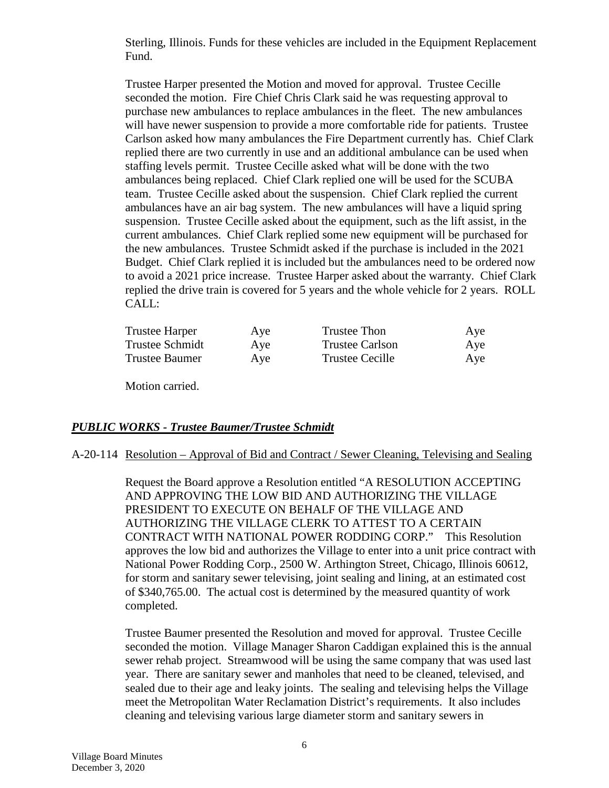Sterling, Illinois. Funds for these vehicles are included in the Equipment Replacement Fund.

Trustee Harper presented the Motion and moved for approval. Trustee Cecille seconded the motion. Fire Chief Chris Clark said he was requesting approval to purchase new ambulances to replace ambulances in the fleet. The new ambulances will have newer suspension to provide a more comfortable ride for patients. Trustee Carlson asked how many ambulances the Fire Department currently has. Chief Clark replied there are two currently in use and an additional ambulance can be used when staffing levels permit. Trustee Cecille asked what will be done with the two ambulances being replaced. Chief Clark replied one will be used for the SCUBA team. Trustee Cecille asked about the suspension. Chief Clark replied the current ambulances have an air bag system. The new ambulances will have a liquid spring suspension. Trustee Cecille asked about the equipment, such as the lift assist, in the current ambulances. Chief Clark replied some new equipment will be purchased for the new ambulances. Trustee Schmidt asked if the purchase is included in the 2021 Budget. Chief Clark replied it is included but the ambulances need to be ordered now to avoid a 2021 price increase. Trustee Harper asked about the warranty. Chief Clark replied the drive train is covered for 5 years and the whole vehicle for 2 years. ROLL CALL:

| Trustee Harper  | Aye | Trustee Thon    | Aye |
|-----------------|-----|-----------------|-----|
| Trustee Schmidt | Aye | Trustee Carlson | Aye |
| Trustee Baumer  | Aye | Trustee Cecille | Aye |

Motion carried.

### *PUBLIC WORKS - Trustee Baumer/Trustee Schmidt*

### A-20-114 Resolution – Approval of Bid and Contract / Sewer Cleaning, Televising and Sealing

Request the Board approve a Resolution entitled "A RESOLUTION ACCEPTING AND APPROVING THE LOW BID AND AUTHORIZING THE VILLAGE PRESIDENT TO EXECUTE ON BEHALF OF THE VILLAGE AND AUTHORIZING THE VILLAGE CLERK TO ATTEST TO A CERTAIN CONTRACT WITH NATIONAL POWER RODDING CORP." This Resolution approves the low bid and authorizes the Village to enter into a unit price contract with National Power Rodding Corp., 2500 W. Arthington Street, Chicago, Illinois 60612, for storm and sanitary sewer televising, joint sealing and lining, at an estimated cost of \$340,765.00. The actual cost is determined by the measured quantity of work completed.

Trustee Baumer presented the Resolution and moved for approval. Trustee Cecille seconded the motion. Village Manager Sharon Caddigan explained this is the annual sewer rehab project. Streamwood will be using the same company that was used last year. There are sanitary sewer and manholes that need to be cleaned, televised, and sealed due to their age and leaky joints. The sealing and televising helps the Village meet the Metropolitan Water Reclamation District's requirements. It also includes cleaning and televising various large diameter storm and sanitary sewers in